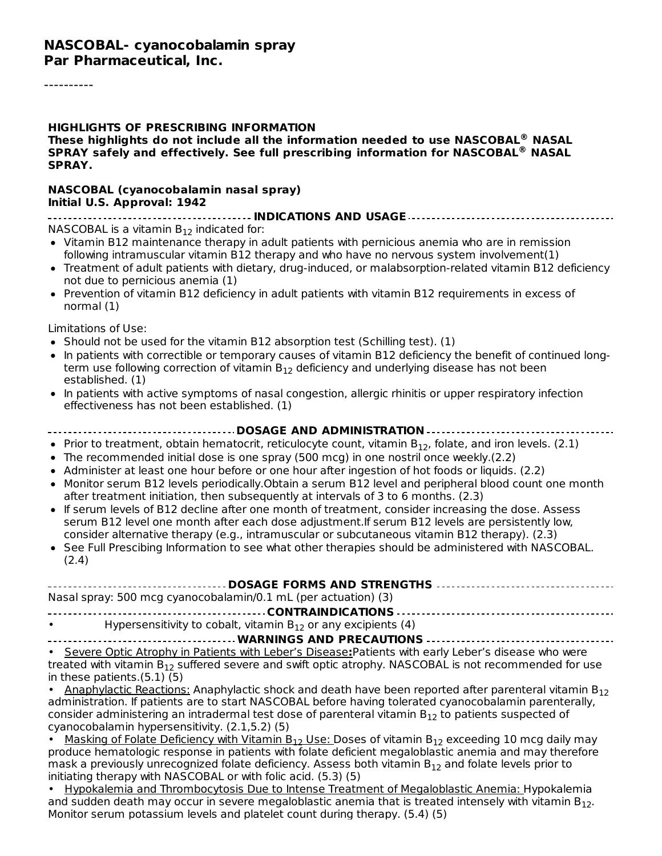#### **HIGHLIGHTS OF PRESCRIBING INFORMATION These highlights do not include all the information needed to use NASCOBAL NASAL ® SPRAY safely and effectively. See full prescribing information for NASCOBAL NASAL ® SPRAY.**

#### **NASCOBAL (cyanocobalamin nasal spray) Initial U.S. Approval: 1942**

**INDICATIONS AND USAGE**  $NASCOBAL$  is a vitamin  $B_{12}$  indicated for:

- Vitamin B12 maintenance therapy in adult patients with pernicious anemia who are in remission following intramuscular vitamin B12 therapy and who have no nervous system involvement(1)
- Treatment of adult patients with dietary, drug-induced, or malabsorption-related vitamin B12 deficiency not due to pernicious anemia (1)
- Prevention of vitamin B12 deficiency in adult patients with vitamin B12 requirements in excess of normal (1)

Limitations of Use:

- Should not be used for the vitamin B12 absorption test (Schilling test).  $(1)$
- In patients with correctible or temporary causes of vitamin B12 deficiency the benefit of continued longterm use following correction of vitamin  $\mathsf{B}_{12}$  deficiency and underlying disease has not been established. (1)
- In patients with active symptoms of nasal congestion, allergic rhinitis or upper respiratory infection effectiveness has not been established. (1)

#### **DOSAGE AND ADMINISTRATION** Prior to treatment, obtain hematocrit, reticulocyte count, vitamin  $B_{12}$ , folate, and iron levels. (2.1) The recommended initial dose is one spray (500 mcg) in one nostril once weekly.(2.2) • Administer at least one hour before or one hour after ingestion of hot foods or liquids. (2.2) • Monitor serum B12 levels periodically. Obtain a serum B12 level and peripheral blood count one month after treatment initiation, then subsequently at intervals of 3 to 6 months. (2.3)

- If serum levels of B12 decline after one month of treatment, consider increasing the dose. Assess serum B12 level one month after each dose adjustment.If serum B12 levels are persistently low, consider alternative therapy (e.g., intramuscular or subcutaneous vitamin B12 therapy). (2.3)
- See Full Prescibing Information to see what other therapies should be administered with NASCOBAL. (2.4)

| Nasal spray: 500 mcg cyanocobalamin/0.1 mL (per actuation) $(3)$ |                                                                    |  |  |  |
|------------------------------------------------------------------|--------------------------------------------------------------------|--|--|--|
|                                                                  |                                                                    |  |  |  |
| $\bullet$ . The set of $\bullet$                                 | Hypersensitivity to cobalt, vitamin $B_{12}$ or any excipients (4) |  |  |  |

#### **WARNINGS AND PRECAUTIONS**

• Severe Optic Atrophy in Patients with Leber's Disease**:**Patients with early Leber's disease who were treated with vitamin  $\mathsf{B}_{12}$  suffered severe and swift optic atrophy. <code>NASCOBAL</code> is not recommended for use in these patients.(5.1) (5)

• Anaphylactic Reactions: Anaphylactic shock and death have been reported after parenteral vitamin B<sub>12</sub> administration. If patients are to start NASCOBAL before having tolerated cyanocobalamin parenterally, consider administering an intradermal test dose of parenteral vitamin  $\mathsf{B}_{12}$  to patients suspected of cyanocobalamin hypersensitivity. (2.1,5.2) (5)

• Masking of Folate Deficiency with Vitamin  $B_{12}$  Use: Doses of vitamin  $B_{12}$  exceeding 10 mcg daily may produce hematologic response in patients with folate deficient megaloblastic anemia and may therefore mask a previously unrecognized folate deficiency. Assess both vitamin  $\mathsf{B}_{12}$  and folate levels prior to initiating therapy with NASCOBAL or with folic acid. (5.3) (5)

• Hypokalemia and Thrombocytosis Due to Intense Treatment of Megaloblastic Anemia: Hypokalemia and sudden death may occur in severe megaloblastic anemia that is treated intensely with vitamin  $\mathsf{B}_{12}.$ Monitor serum potassium levels and platelet count during therapy. (5.4) (5)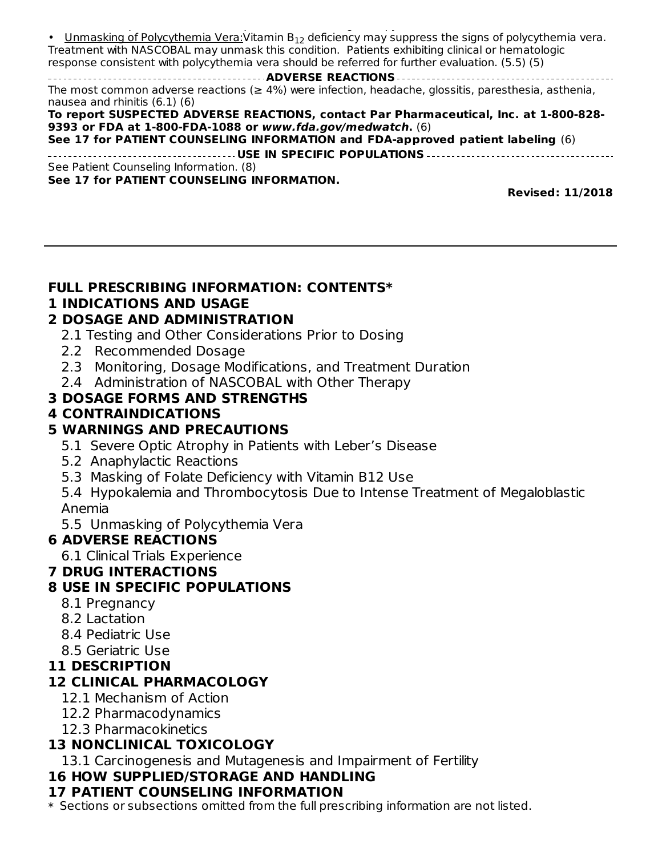Monitor serum potassium levels and platelet count during therapy. (5.4) (5) • Unmasking of Polycythemia Vera: Vitamin  $B_{12}$  deficiency may suppress the signs of polycythemia vera. Treatment with NASCOBAL may unmask this condition. Patients exhibiting clinical or hematologic response consistent with polycythemia vera should be referred for further evaluation. (5.5) (5) **ADVERSE REACTIONS** The most common adverse reactions ( $\geq 4\%$ ) were infection, headache, glossitis, paresthesia, asthenia, nausea and rhinitis (6.1) (6) **To report SUSPECTED ADVERSE REACTIONS, contact Par Pharmaceutical, Inc. at 1-800-828- 9393 or FDA at 1-800-FDA-1088 or www.fda.gov/medwatch.** (6) **See 17 for PATIENT COUNSELING INFORMATION and FDA-approved patient labeling** (6) **USE IN SPECIFIC POPULATIONS** See Patient Counseling Information. (8) **See 17 for PATIENT COUNSELING INFORMATION.**

**Revised: 11/2018**

#### **FULL PRESCRIBING INFORMATION: CONTENTS\***

#### **1 INDICATIONS AND USAGE**

#### **2 DOSAGE AND ADMINISTRATION**

- 2.1 Testing and Other Considerations Prior to Dosing
- 2.2 Recommended Dosage
- 2.3 Monitoring, Dosage Modifications, and Treatment Duration
- 2.4 Administration of NASCOBAL with Other Therapy

### **3 DOSAGE FORMS AND STRENGTHS**

#### **4 CONTRAINDICATIONS**

### **5 WARNINGS AND PRECAUTIONS**

- 5.1 Severe Optic Atrophy in Patients with Leber's Disease
- 5.2 Anaphylactic Reactions
- 5.3 Masking of Folate Deficiency with Vitamin B12 Use
- 5.4 Hypokalemia and Thrombocytosis Due to Intense Treatment of Megaloblastic Anemia
- 5.5 Unmasking of Polycythemia Vera

### **6 ADVERSE REACTIONS**

6.1 Clinical Trials Experience

### **7 DRUG INTERACTIONS**

### **8 USE IN SPECIFIC POPULATIONS**

- 8.1 Pregnancy
- 8.2 Lactation
- 8.4 Pediatric Use
- 8.5 Geriatric Use

### **11 DESCRIPTION**

### **12 CLINICAL PHARMACOLOGY**

- 12.1 Mechanism of Action
- 12.2 Pharmacodynamics
- 12.3 Pharmacokinetics

### **13 NONCLINICAL TOXICOLOGY**

13.1 Carcinogenesis and Mutagenesis and Impairment of Fertility

### **16 HOW SUPPLIED/STORAGE AND HANDLING**

# **17 PATIENT COUNSELING INFORMATION**

 $\ast$  Sections or subsections omitted from the full prescribing information are not listed.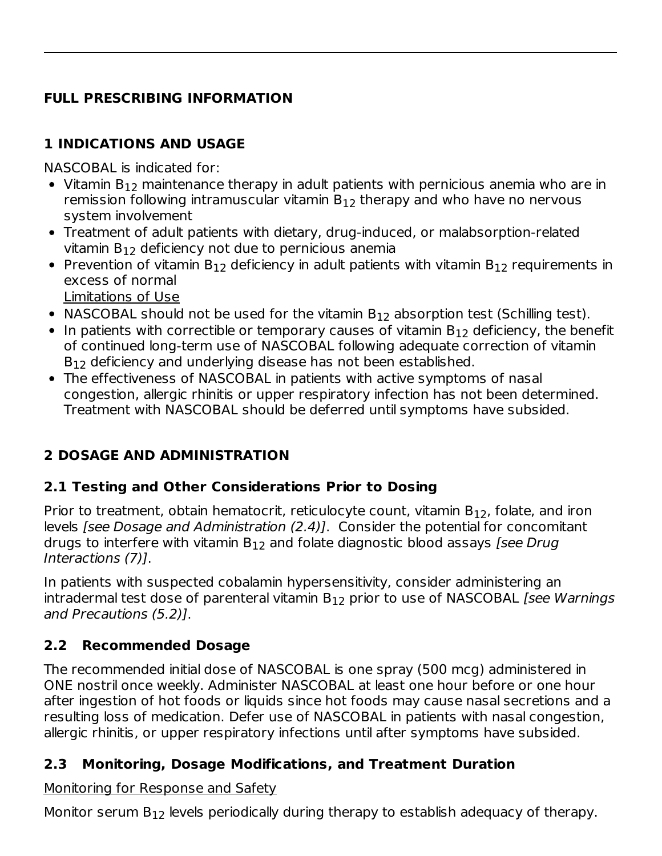### **FULL PRESCRIBING INFORMATION**

### **1 INDICATIONS AND USAGE**

NASCOBAL is indicated for:

- Vitamin B $_{12}$  maintenance therapy in adult patients with pernicious anemia who are in remission following intramuscular vitamin  $\mathsf{B}_{12}$  therapy and who have no nervous system involvement
- Treatment of adult patients with dietary, drug-induced, or malabsorption-related vitamin  $B_{12}$  deficiency not due to pernicious anemia
- Prevention of vitamin  $B_{12}$  deficiency in adult patients with vitamin  $B_{12}$  requirements in excess of normal Limitations of Use
- NASCOBAL should not be used for the vitamin  $B_{12}$  absorption test (Schilling test).
- In patients with correctible or temporary causes of vitamin  $\mathsf{B}_{12}$  deficiency, the benefit of continued long-term use of NASCOBAL following adequate correction of vitamin  $B_{12}$  deficiency and underlying disease has not been established.
- The effectiveness of NASCOBAL in patients with active symptoms of nasal congestion, allergic rhinitis or upper respiratory infection has not been determined. Treatment with NASCOBAL should be deferred until symptoms have subsided.

## **2 DOSAGE AND ADMINISTRATION**

### **2.1 Testing and Other Considerations Prior to Dosing**

Prior to treatment, obtain hematocrit, reticulocyte count, vitamin  $B_{12}$ , folate, and iron levels [see Dosage and Administration (2.4)]. Consider the potential for concomitant drugs to interfere with vitamin  $\mathsf{B}_{12}$  and folate diagnostic blood assays *[see Drug* Interactions (7)].

In patients with suspected cobalamin hypersensitivity, consider administering an intradermal test dose of parenteral vitamin  $\mathsf{B}_{12}$  prior to use of <code>NASCOBAL</code> [see Warnings and Precautions (5.2)].

## **2.2 Recommended Dosage**

The recommended initial dose of NASCOBAL is one spray (500 mcg) administered in ONE nostril once weekly. Administer NASCOBAL at least one hour before or one hour after ingestion of hot foods or liquids since hot foods may cause nasal secretions and a resulting loss of medication. Defer use of NASCOBAL in patients with nasal congestion, allergic rhinitis, or upper respiratory infections until after symptoms have subsided.

### **2.3 Monitoring, Dosage Modifications, and Treatment Duration**

Monitoring for Response and Safety

Monitor serum  $B_{12}$  levels periodically during therapy to establish adequacy of therapy.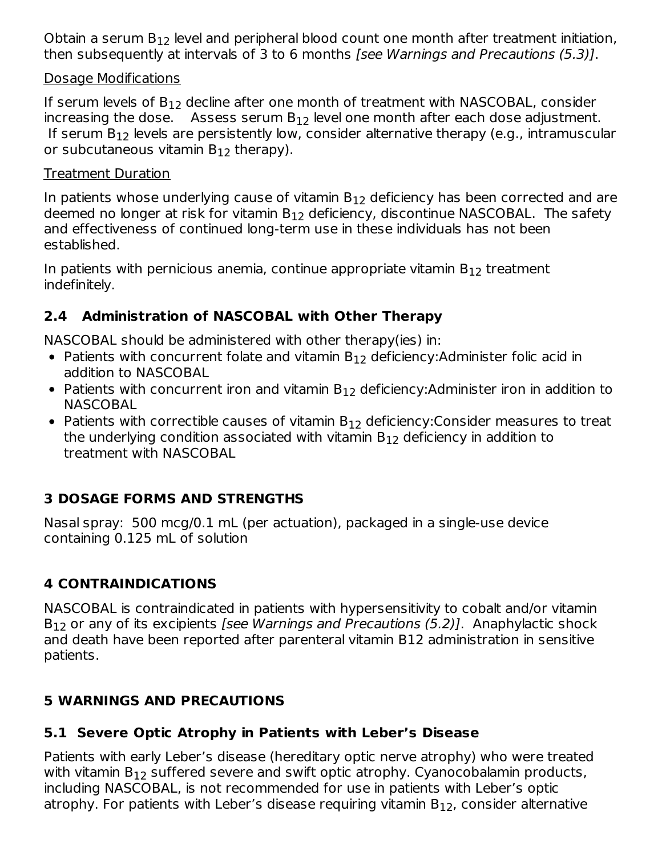Obtain a serum  $B_{12}$  level and peripheral blood count one month after treatment initiation, then subsequently at intervals of 3 to 6 months [see Warnings and Precautions (5.3)].

#### Dosage Modifications

If serum levels of  $\mathsf{B}_{12}$  decline after one month of treatment with <code>NASCOBAL</code>, consider increasing the dose. Assess serum  $B_{12}$  level one month after each dose adjustment. If serum  $B_{12}$  levels are persistently low, consider alternative therapy (e.g., intramuscular or subcutaneous vitamin  $\mathsf{B}_{12}$  therapy).

#### Treatment Duration

In patients whose underlying cause of vitamin  $\mathsf{B}_{12}$  deficiency has been corrected and are deemed no longer at risk for vitamin  $\mathsf{B}_{12}$  deficiency, discontinue <code>NASCOBAL</code>. The safety and effectiveness of continued long-term use in these individuals has not been established.

In patients with pernicious anemia, continue appropriate vitamin  $\mathsf{B}_{12}$  treatment indefinitely.

### **2.4 Administration of NASCOBAL with Other Therapy**

NASCOBAL should be administered with other therapy(ies) in:

- Patients with concurrent folate and vitamin  $B_{12}$  deficiency:Administer folic acid in addition to NASCOBAL
- Patients with concurrent iron and vitamin  $B_{12}$  deficiency:Administer iron in addition to NASCOBAL
- Patients with correctible causes of vitamin  $B_{12}$  deficiency:Consider measures to treat the underlying condition associated with vitamin  $\mathsf{B}_{12}$  deficiency in addition to treatment with NASCOBAL

### **3 DOSAGE FORMS AND STRENGTHS**

Nasal spray: 500 mcg/0.1 mL (per actuation), packaged in a single-use device containing 0.125 mL of solution

## **4 CONTRAINDICATIONS**

NASCOBAL is contraindicated in patients with hypersensitivity to cobalt and/or vitamin  $B_{12}$  or any of its excipients *[see Warnings and Precautions (5.2)]*. Anaphylactic shock and death have been reported after parenteral vitamin B12 administration in sensitive patients.

### **5 WARNINGS AND PRECAUTIONS**

### **5.1 Severe Optic Atrophy in Patients with Leber's Disease**

Patients with early Leber's disease (hereditary optic nerve atrophy) who were treated with vitamin  $\mathsf{B}_{12}$  suffered severe and swift optic atrophy. Cyanocobalamin products, including NASCOBAL, is not recommended for use in patients with Leber's optic atrophy. For patients with Leber's disease requiring vitamin  $\mathsf{B}_{12}$ , consider alternative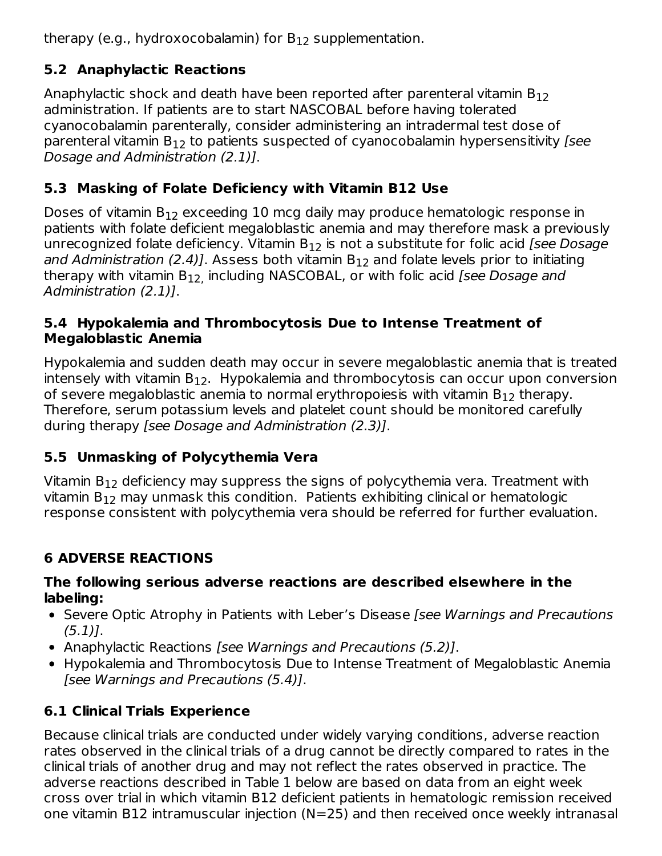therapy (e.g., hydroxocobalamin) for  $\mathsf{B}_{12}$  supplementation.

## **5.2 Anaphylactic Reactions**

Anaphylactic shock and death have been reported after parenteral vitamin  $\mathsf{B}_{12}$ administration. If patients are to start NASCOBAL before having tolerated cyanocobalamin parenterally, consider administering an intradermal test dose of parenteral vitamin  $\mathsf{B}_{12}$  to patients suspected of cyanocobalamin hypersensitivity [see Dosage and Administration (2.1)].

## **5.3 Masking of Folate Deficiency with Vitamin B12 Use**

Doses of vitamin  $\mathsf{B}_{12}$  exceeding  $10$  mcg daily may produce hematologic response in patients with folate deficient megaloblastic anemia and may therefore mask a previously unrecognized folate deficiency. Vitamin B $_{12}$  is not a substitute for folic acid *[see Dosage and Administration (2.4)].* Assess both vitamin B<sub>12</sub> and folate levels prior to initiating therapy with vitamin B<sub>12,</sub> including NASCOBAL, or with folic acid *[see Dosage and* Administration (2.1)].

### **5.4 Hypokalemia and Thrombocytosis Due to Intense Treatment of Megaloblastic Anemia**

Hypokalemia and sudden death may occur in severe megaloblastic anemia that is treated intensely with vitamin  $\mathsf{B}_{12}.$  Hypokalemia and thrombocytosis can occur upon conversion of severe megaloblastic anemia to normal erythropoiesis with vitamin  $\mathsf{B}_{12}$  therapy. Therefore, serum potassium levels and platelet count should be monitored carefully during therapy [see Dosage and Administration (2.3)].

## **5.5 Unmasking of Polycythemia Vera**

Vitamin B $_{12}$  deficiency may suppress the signs of polycythemia vera. Treatment with vitamin  $\mathsf{B}_{12}$  may unmask this condition. Patients exhibiting clinical or hematologic response consistent with polycythemia vera should be referred for further evaluation.

# **6 ADVERSE REACTIONS**

### **The following serious adverse reactions are described elsewhere in the labeling:**

- Severe Optic Atrophy in Patients with Leber's Disease *[see Warnings and Precautions* (5.1)].
- Anaphylactic Reactions [see Warnings and Precautions (5.2)].
- Hypokalemia and Thrombocytosis Due to Intense Treatment of Megaloblastic Anemia [see Warnings and Precautions (5.4)].

# **6.1 Clinical Trials Experience**

Because clinical trials are conducted under widely varying conditions, adverse reaction rates observed in the clinical trials of a drug cannot be directly compared to rates in the clinical trials of another drug and may not reflect the rates observed in practice. The adverse reactions described in Table 1 below are based on data from an eight week cross over trial in which vitamin B12 deficient patients in hematologic remission received one vitamin B12 intramuscular injection (N=25) and then received once weekly intranasal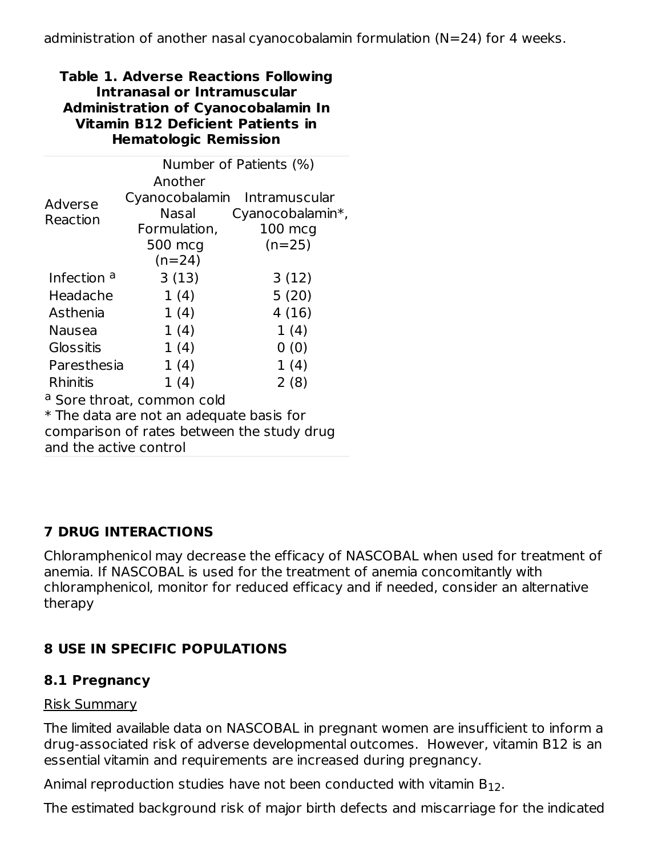#### **Table 1. Adverse Reactions Following Intranasal or Intramuscular Administration of Cyanocobalamin In Vitamin B12 Deficient Patients in Hematologic Remission**

|                                            | Number of Patients (%)       |                   |  |  |  |  |
|--------------------------------------------|------------------------------|-------------------|--|--|--|--|
|                                            | Another                      |                   |  |  |  |  |
| Adverse                                    | Cyanocobalamin Intramuscular |                   |  |  |  |  |
| Reaction                                   | Nasal                        | Cyanocobalamin*,  |  |  |  |  |
|                                            | Formulation,                 | $100 \text{ mcg}$ |  |  |  |  |
|                                            | 500 mcg                      | $(n=25)$          |  |  |  |  |
|                                            | $(n=24)$                     |                   |  |  |  |  |
| Infection <sup>a</sup>                     | 3(13)                        | 3(12)             |  |  |  |  |
| Headache                                   | 1(4)                         | 5(20)             |  |  |  |  |
| Asthenia                                   | 1(4)                         | 4(16)             |  |  |  |  |
| Nausea                                     | 1(4)                         | 1(4)              |  |  |  |  |
| Glossitis                                  | 1(4)                         | 0(0)              |  |  |  |  |
| Paresthesia                                | 1(4)                         | 1(4)              |  |  |  |  |
| <b>Rhinitis</b>                            | 1(4)                         | 2(8)              |  |  |  |  |
| <sup>a</sup> Sore throat, common cold      |                              |                   |  |  |  |  |
| * The data are not an adequate basis for   |                              |                   |  |  |  |  |
| comparison of rates between the study drug |                              |                   |  |  |  |  |
| and the active control                     |                              |                   |  |  |  |  |

### **7 DRUG INTERACTIONS**

Chloramphenicol may decrease the efficacy of NASCOBAL when used for treatment of anemia. If NASCOBAL is used for the treatment of anemia concomitantly with chloramphenicol, monitor for reduced efficacy and if needed, consider an alternative therapy

### **8 USE IN SPECIFIC POPULATIONS**

### **8.1 Pregnancy**

### Risk Summary

The limited available data on NASCOBAL in pregnant women are insufficient to inform a drug-associated risk of adverse developmental outcomes. However, vitamin B12 is an essential vitamin and requirements are increased during pregnancy.

Animal reproduction studies have not been conducted with vitamin  $\mathsf{B}_{12}.$ 

The estimated background risk of major birth defects and miscarriage for the indicated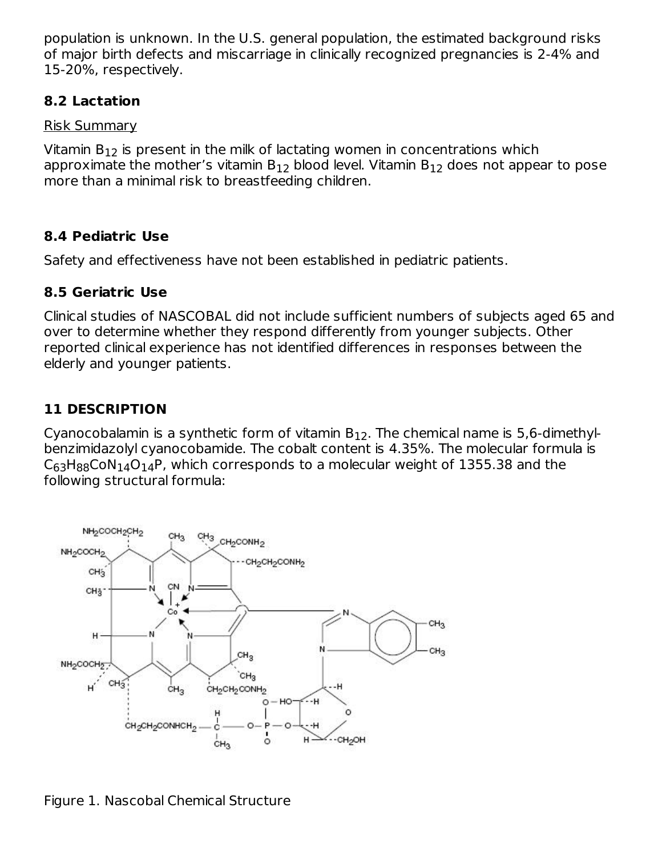population is unknown. In the U.S. general population, the estimated background risks of major birth defects and miscarriage in clinically recognized pregnancies is 2-4% and 15-20%, respectively.

### **8.2 Lactation**

Risk Summary

Vitamin  $\mathsf{B}_{12}$  is present in the milk of lactating women in concentrations which approximate the mother's vitamin B $_{12}$  blood level. Vitamin B $_{12}$  does not appear to pose more than a minimal risk to breastfeeding children.

### **8.4 Pediatric Use**

Safety and effectiveness have not been established in pediatric patients.

### **8.5 Geriatric Use**

Clinical studies of NASCOBAL did not include sufficient numbers of subjects aged 65 and over to determine whether they respond differently from younger subjects. Other reported clinical experience has not identified differences in responses between the elderly and younger patients.

### **11 DESCRIPTION**

Cyanocobalamin is a synthetic form of vitamin  $\mathsf{B}_{12}.$  The chemical name is 5,6-dimethylbenzimidazolyl cyanocobamide. The cobalt content is 4.35%. The molecular formula is  $\mathsf{C}_{63}\mathsf{H}_{88}\mathsf{CoN}_{14}\mathsf{O}_{14}\mathsf{P}$ , which corresponds to a molecular weight of 1355.38 and the following structural formula:



Figure 1. Nascobal Chemical Structure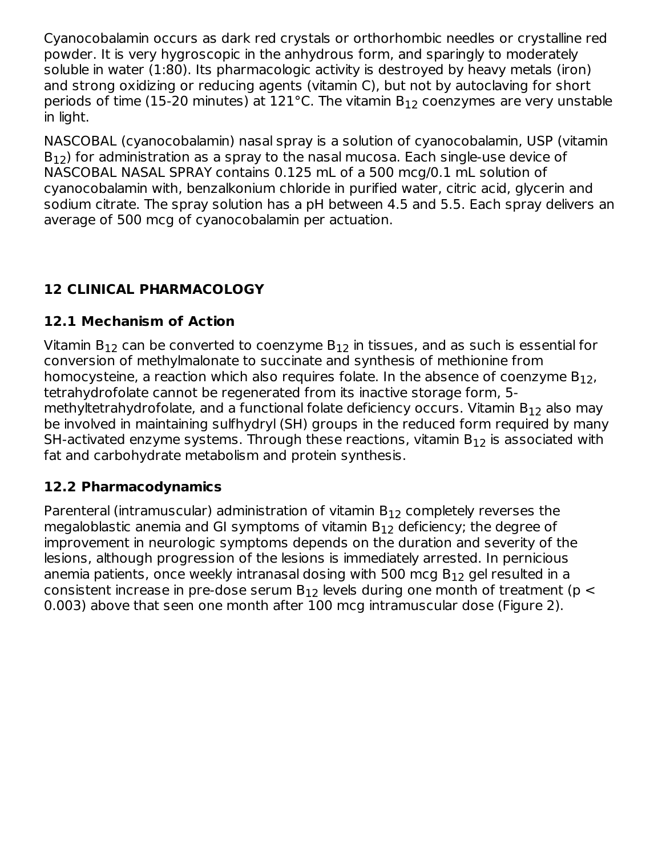Cyanocobalamin occurs as dark red crystals or orthorhombic needles or crystalline red powder. It is very hygroscopic in the anhydrous form, and sparingly to moderately soluble in water (1:80). Its pharmacologic activity is destroyed by heavy metals (iron) and strong oxidizing or reducing agents (vitamin C), but not by autoclaving for short periods of time (15-20 minutes) at 121°C. The vitamin  $B_{12}$  coenzymes are very unstable in light.

NASCOBAL (cyanocobalamin) nasal spray is a solution of cyanocobalamin, USP (vitamin  $\mathsf{B}_{12}$ ) for administration as a spray to the nasal mucosa. Each single-use device of NASCOBAL NASAL SPRAY contains 0.125 mL of a 500 mcg/0.1 mL solution of cyanocobalamin with, benzalkonium chloride in purified water, citric acid, glycerin and sodium citrate. The spray solution has a pH between 4.5 and 5.5. Each spray delivers an average of 500 mcg of cyanocobalamin per actuation.

## **12 CLINICAL PHARMACOLOGY**

### **12.1 Mechanism of Action**

Vitamin B $_{12}$  can be converted to coenzyme B $_{12}$  in tissues, and as such is essential for conversion of methylmalonate to succinate and synthesis of methionine from homocysteine, a reaction which also requires folate. In the absence of coenzyme  $\mathsf{B}_{12}$ , tetrahydrofolate cannot be regenerated from its inactive storage form, 5 methyltetrahydrofolate, and a functional folate deficiency occurs. Vitamin B $_{\rm 12}$  also may be involved in maintaining sulfhydryl (SH) groups in the reduced form required by many SH-activated enzyme systems. Through these reactions, vitamin  $\mathsf{B}_{12}$  is associated with fat and carbohydrate metabolism and protein synthesis.

#### **12.2 Pharmacodynamics**

Parenteral (intramuscular) administration of vitamin  $\mathsf{B}_{12}$  completely reverses the megaloblastic anemia and GI symptoms of vitamin  $\mathsf{B}_{12}$  deficiency; the degree of improvement in neurologic symptoms depends on the duration and severity of the lesions, although progression of the lesions is immediately arrested. In pernicious anemia patients, once weekly intranasal dosing with 500 mcg  $\mathsf{B}_{12}$  gel resulted in a consistent increase in pre-dose serum B $_{12}$  levels during one month of treatment (p  $<\,$ 0.003) above that seen one month after 100 mcg intramuscular dose (Figure 2).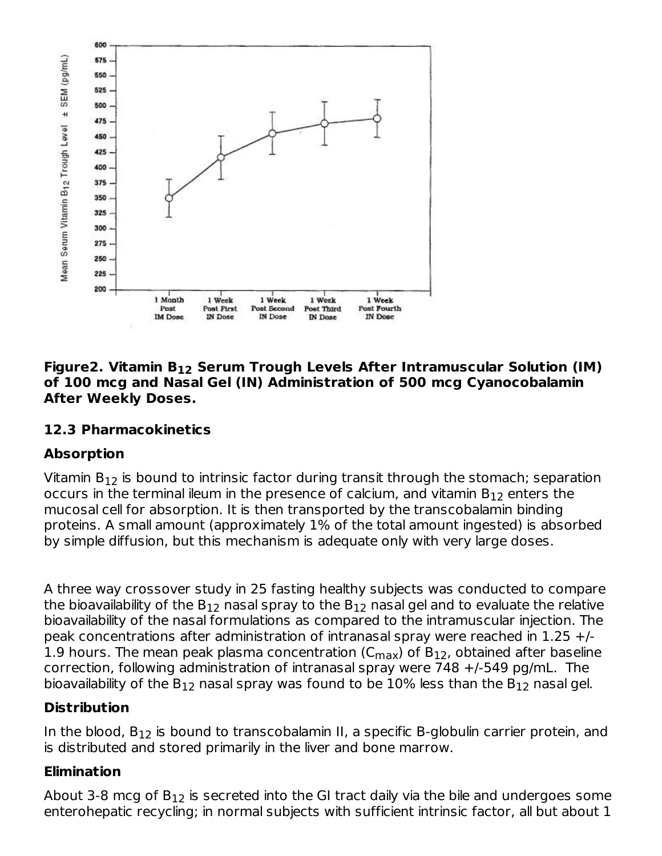

#### **Figure2. Vitamin B Serum Trough Levels After Intramuscular Solution (IM) 12 of 100 mcg and Nasal Gel (IN) Administration of 500 mcg Cyanocobalamin After Weekly Doses.**

#### **12.3 Pharmacokinetics**

#### **Absorption**

Vitamin  $\mathsf{B}_{12}$  is bound to intrinsic factor during transit through the stomach; separation occurs in the terminal ileum in the presence of calcium, and vitamin  $\mathsf{B}_{12}$  enters the mucosal cell for absorption. It is then transported by the transcobalamin binding proteins. A small amount (approximately 1% of the total amount ingested) is absorbed by simple diffusion, but this mechanism is adequate only with very large doses.

A three way crossover study in 25 fasting healthy subjects was conducted to compare the bioavailability of the B $_{\rm 12}$  nasal spray to the B $_{\rm 12}$  nasal gel and to evaluate the relative bioavailability of the nasal formulations as compared to the intramuscular injection. The peak concentrations after administration of intranasal spray were reached in 1.25 +/- 1.9 hours. The mean peak plasma concentration ( $\rm C_{max}$ ) of B $_{12}$ , obtained after baseline correction, following administration of intranasal spray were 748 +/-549 pg/mL. The bioavailability of the  $\mathsf{B}_{12}$  nasal spray was found to be  $10\%$  less than the  $\mathsf{B}_{12}$  nasal gel.

### **Distribution**

In the blood,  $\mathsf{B}_{12}$  is bound to transcobalamin II, a specific B-globulin carrier protein, and is distributed and stored primarily in the liver and bone marrow.

### **Elimination**

About 3-8 mcg of  $\mathsf{B}_{12}$  is secreted into the GI tract daily via the bile and undergoes some enterohepatic recycling; in normal subjects with sufficient intrinsic factor, all but about 1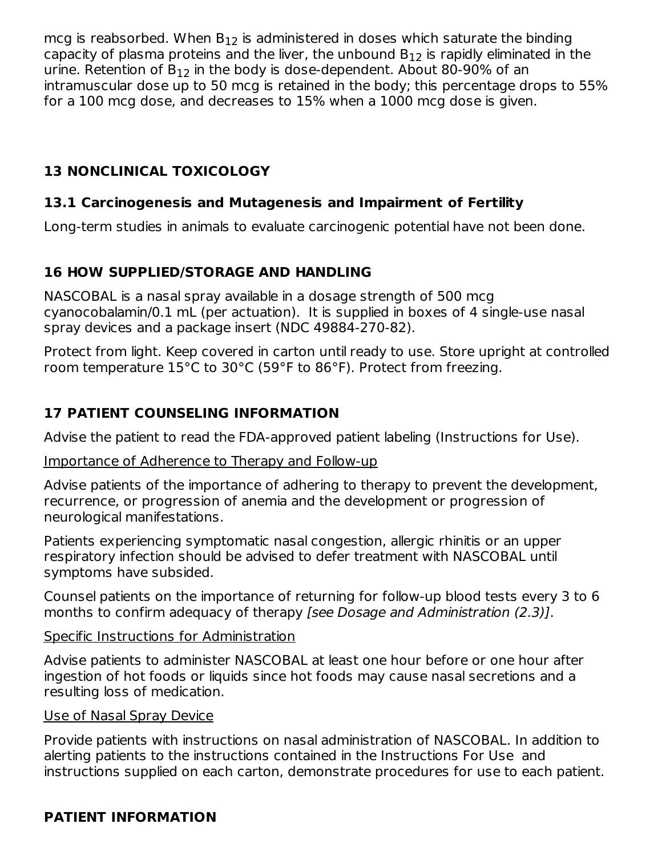mcg is reabsorbed. When  $\mathsf{B}_{12}$  is administered in doses which saturate the binding capacity of plasma proteins and the liver, the unbound  $\mathsf{B}_{12}$  is rapidly eliminated in the urine. Retention of  $B_{12}$  in the body is dose-dependent. About 80-90% of an intramuscular dose up to 50 mcg is retained in the body; this percentage drops to 55% for a 100 mcg dose, and decreases to 15% when a 1000 mcg dose is given.

### **13 NONCLINICAL TOXICOLOGY**

### **13.1 Carcinogenesis and Mutagenesis and Impairment of Fertility**

Long-term studies in animals to evaluate carcinogenic potential have not been done.

### **16 HOW SUPPLIED/STORAGE AND HANDLING**

NASCOBAL is a nasal spray available in a dosage strength of 500 mcg cyanocobalamin/0.1 mL (per actuation). It is supplied in boxes of 4 single-use nasal spray devices and a package insert (NDC 49884-270-82).

Protect from light. Keep covered in carton until ready to use. Store upright at controlled room temperature 15°C to 30°C (59°F to 86°F). Protect from freezing.

### **17 PATIENT COUNSELING INFORMATION**

Advise the patient to read the FDA-approved patient labeling (Instructions for Use).

#### Importance of Adherence to Therapy and Follow-up

Advise patients of the importance of adhering to therapy to prevent the development, recurrence, or progression of anemia and the development or progression of neurological manifestations.

Patients experiencing symptomatic nasal congestion, allergic rhinitis or an upper respiratory infection should be advised to defer treatment with NASCOBAL until symptoms have subsided.

Counsel patients on the importance of returning for follow-up blood tests every 3 to 6 months to confirm adequacy of therapy [see Dosage and Administration (2.3)].

#### Specific Instructions for Administration

Advise patients to administer NASCOBAL at least one hour before or one hour after ingestion of hot foods or liquids since hot foods may cause nasal secretions and a resulting loss of medication.

#### Use of Nasal Spray Device

Provide patients with instructions on nasal administration of NASCOBAL. In addition to alerting patients to the instructions contained in the Instructions For Use and instructions supplied on each carton, demonstrate procedures for use to each patient.

### **PATIENT INFORMATION**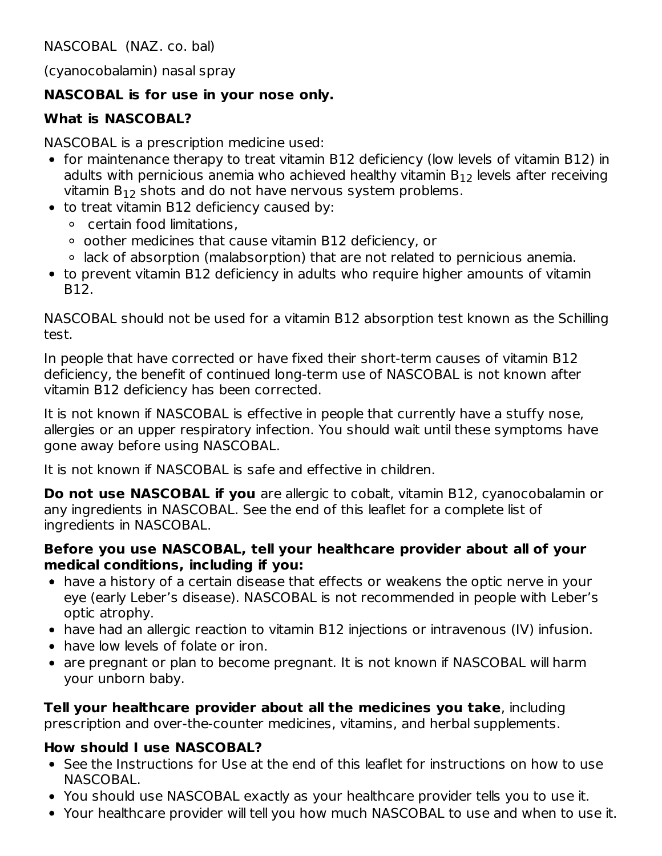NASCOBAL (NAZ. co. bal)

(cyanocobalamin) nasal spray

#### **NASCOBAL is for use in your nose only.**

#### **What is NASCOBAL?**

NASCOBAL is a prescription medicine used:

- for maintenance therapy to treat vitamin B12 deficiency (low levels of vitamin B12) in adults with pernicious anemia who achieved healthy vitamin  $\mathsf{B}_{12}$  levels after receiving vitamin  $B_{12}$  shots and do not have nervous system problems.
- to treat vitamin B12 deficiency caused by:
	- certain food limitations,
	- $\circ$  oother medicines that cause vitamin B12 deficiency, or
	- lack of absorption (malabsorption) that are not related to pernicious anemia.
- to prevent vitamin B12 deficiency in adults who require higher amounts of vitamin B12.

NASCOBAL should not be used for a vitamin B12 absorption test known as the Schilling test.

In people that have corrected or have fixed their short-term causes of vitamin B12 deficiency, the benefit of continued long-term use of NASCOBAL is not known after vitamin B12 deficiency has been corrected.

It is not known if NASCOBAL is effective in people that currently have a stuffy nose, allergies or an upper respiratory infection. You should wait until these symptoms have gone away before using NASCOBAL.

It is not known if NASCOBAL is safe and effective in children.

**Do not use NASCOBAL if you** are allergic to cobalt, vitamin B12, cyanocobalamin or any ingredients in NASCOBAL. See the end of this leaflet for a complete list of ingredients in NASCOBAL.

#### **Before you use NASCOBAL, tell your healthcare provider about all of your medical conditions, including if you:**

- have a history of a certain disease that effects or weakens the optic nerve in your eye (early Leber's disease). NASCOBAL is not recommended in people with Leber's optic atrophy.
- have had an allergic reaction to vitamin B12 injections or intravenous (IV) infusion.
- have low levels of folate or iron.
- are pregnant or plan to become pregnant. It is not known if NASCOBAL will harm your unborn baby.

**Tell your healthcare provider about all the medicines you take**, including prescription and over-the-counter medicines, vitamins, and herbal supplements.

#### **How should I use NASCOBAL?**

- See the Instructions for Use at the end of this leaflet for instructions on how to use NASCOBAL.
- You should use NASCOBAL exactly as your healthcare provider tells you to use it.
- Your healthcare provider will tell you how much NASCOBAL to use and when to use it.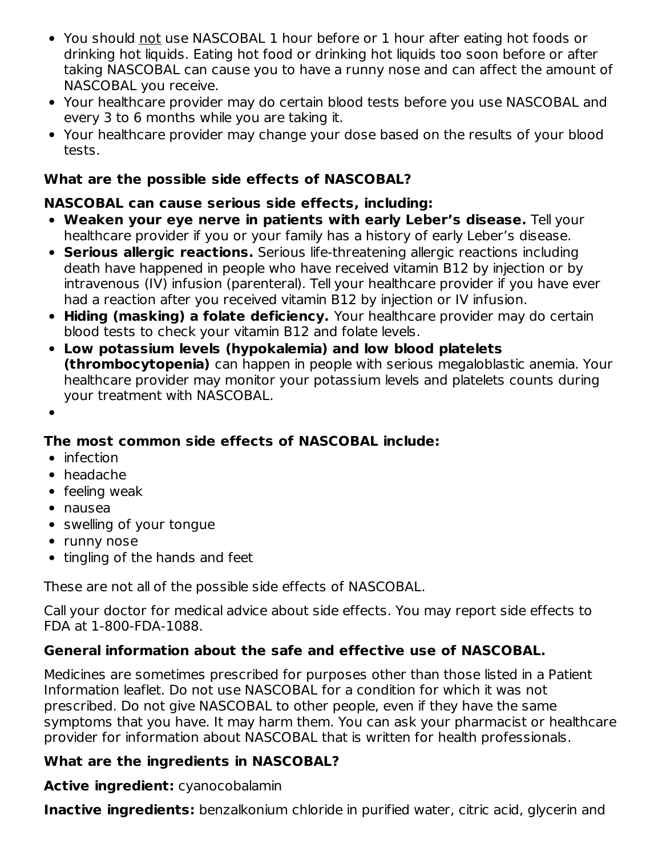- You should not use NASCOBAL 1 hour before or 1 hour after eating hot foods or drinking hot liquids. Eating hot food or drinking hot liquids too soon before or after taking NASCOBAL can cause you to have a runny nose and can affect the amount of NASCOBAL you receive.
- Your healthcare provider may do certain blood tests before you use NASCOBAL and every 3 to 6 months while you are taking it.
- Your healthcare provider may change your dose based on the results of your blood tests.

### **What are the possible side effects of NASCOBAL?**

### **NASCOBAL can cause serious side effects, including:**

- **Weaken your eye nerve in patients with early Leber's disease.** Tell your healthcare provider if you or your family has a history of early Leber's disease.
- **Serious allergic reactions.** Serious life-threatening allergic reactions including death have happened in people who have received vitamin B12 by injection or by intravenous (IV) infusion (parenteral). Tell your healthcare provider if you have ever had a reaction after you received vitamin B12 by injection or IV infusion.
- **Hiding (masking) a folate deficiency.** Your healthcare provider may do certain blood tests to check your vitamin B12 and folate levels.
- **Low potassium levels (hypokalemia) and low blood platelets (thrombocytopenia)** can happen in people with serious megaloblastic anemia. Your healthcare provider may monitor your potassium levels and platelets counts during your treatment with NASCOBAL.

### **The most common side effects of NASCOBAL include:**

- $\bullet$  infection
- headache
- feeling weak
- nausea
- swelling of your tongue
- runny nose
- tingling of the hands and feet

These are not all of the possible side effects of NASCOBAL.

Call your doctor for medical advice about side effects. You may report side effects to FDA at 1-800-FDA-1088.

### **General information about the safe and effective use of NASCOBAL.**

Medicines are sometimes prescribed for purposes other than those listed in a Patient Information leaflet. Do not use NASCOBAL for a condition for which it was not prescribed. Do not give NASCOBAL to other people, even if they have the same symptoms that you have. It may harm them. You can ask your pharmacist or healthcare provider for information about NASCOBAL that is written for health professionals.

### **What are the ingredients in NASCOBAL?**

**Active ingredient:** cyanocobalamin

**Inactive ingredients:** benzalkonium chloride in purified water, citric acid, glycerin and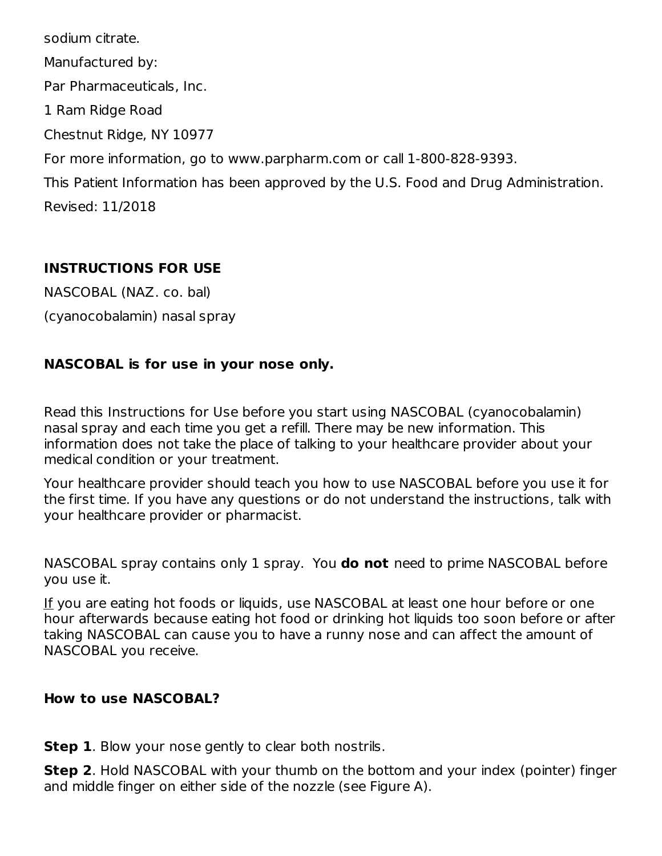sodium citrate. Manufactured by: Par Pharmaceuticals, Inc. 1 Ram Ridge Road Chestnut Ridge, NY 10977 For more information, go to www.parpharm.com or call 1-800-828-9393. This Patient Information has been approved by the U.S. Food and Drug Administration. Revised: 11/2018

#### **INSTRUCTIONS FOR USE**

NASCOBAL (NAZ. co. bal) (cyanocobalamin) nasal spray

### **NASCOBAL is for use in your nose only.**

Read this Instructions for Use before you start using NASCOBAL (cyanocobalamin) nasal spray and each time you get a refill. There may be new information. This information does not take the place of talking to your healthcare provider about your medical condition or your treatment.

Your healthcare provider should teach you how to use NASCOBAL before you use it for the first time. If you have any questions or do not understand the instructions, talk with your healthcare provider or pharmacist.

NASCOBAL spray contains only 1 spray. You **do not** need to prime NASCOBAL before you use it.

If you are eating hot foods or liquids, use NASCOBAL at least one hour before or one hour afterwards because eating hot food or drinking hot liquids too soon before or after taking NASCOBAL can cause you to have a runny nose and can affect the amount of NASCOBAL you receive.

#### **How to use NASCOBAL?**

**Step 1**. Blow your nose gently to clear both nostrils.

**Step 2**. Hold NASCOBAL with your thumb on the bottom and your index (pointer) finger and middle finger on either side of the nozzle (see Figure A).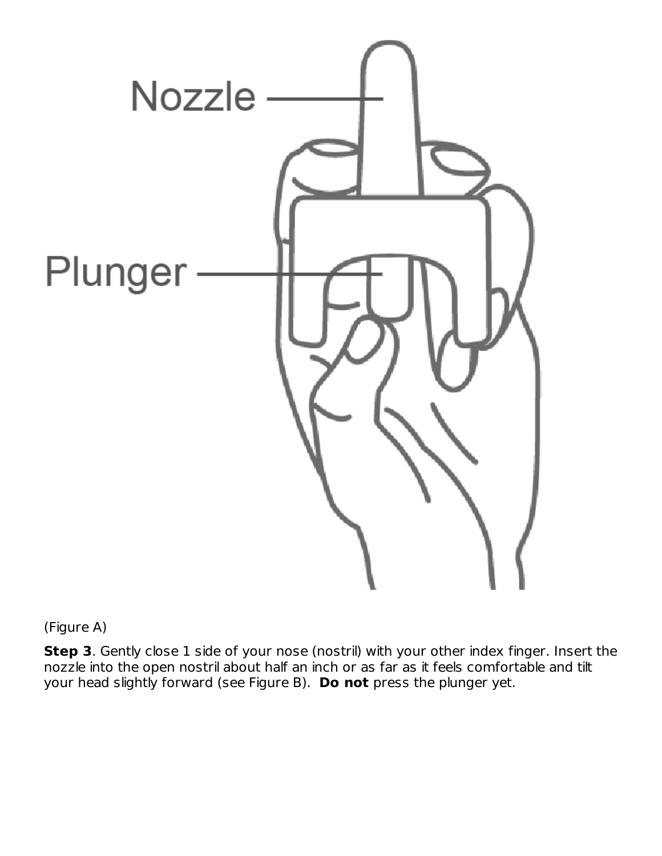

(Figure A)

**Step 3**. Gently close 1 side of your nose (nostril) with your other index finger. Insert the nozzle into the open nostril about half an inch or as far as it feels comfortable and tilt your head slightly forward (see Figure B). **Do not** press the plunger yet.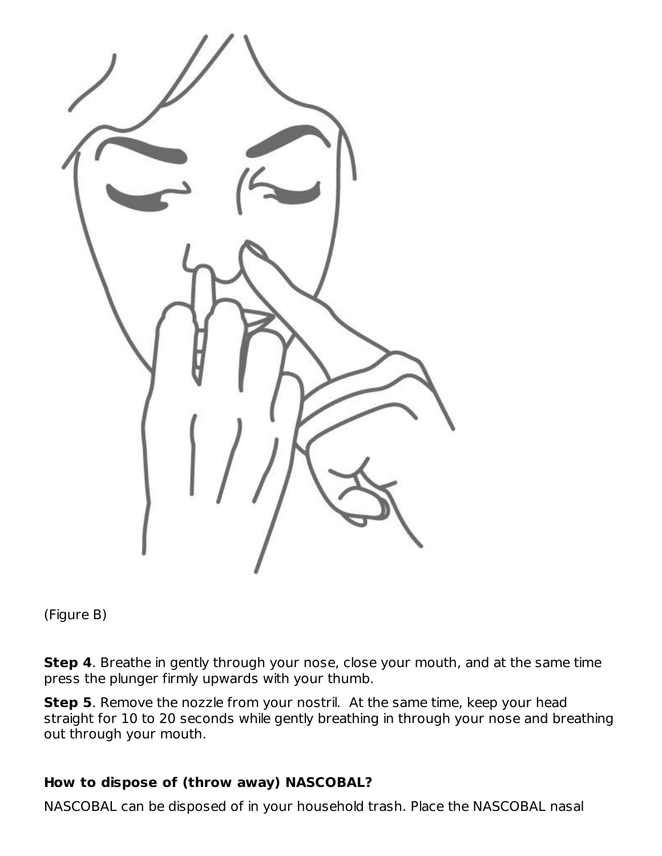

(Figure B)

**Step 4**. Breathe in gently through your nose, close your mouth, and at the same time press the plunger firmly upwards with your thumb.

**Step 5**. Remove the nozzle from your nostril. At the same time, keep your head straight for 10 to 20 seconds while gently breathing in through your nose and breathing out through your mouth.

### **How to dispose of (throw away) NASCOBAL?**

NASCOBAL can be disposed of in your household trash. Place the NASCOBAL nasal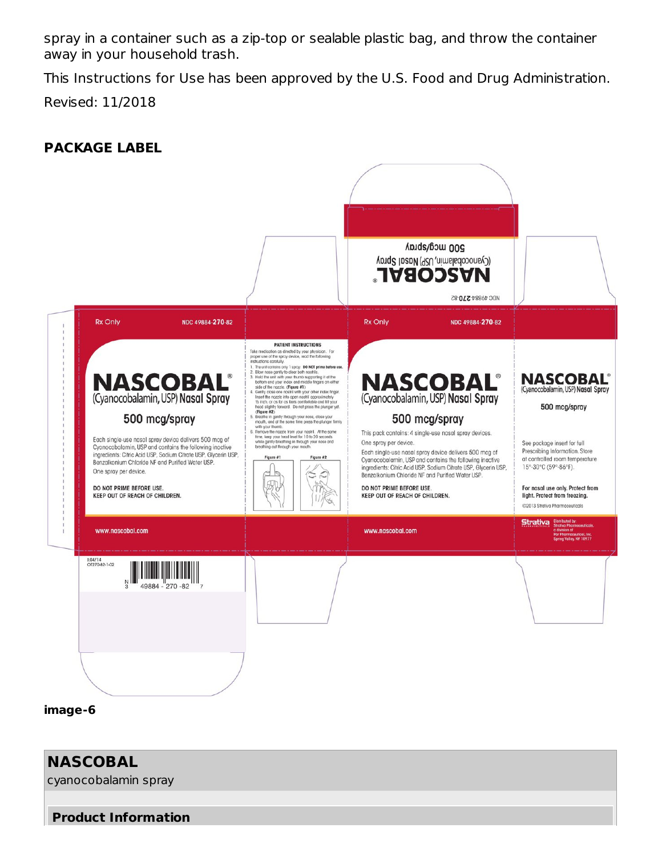spray in a container such as a zip-top or sealable plastic bag, and throw the container away in your household trash.

This Instructions for Use has been approved by the U.S. Food and Drug Administration. Revised: 11/2018

**PACKAGE LABEL**